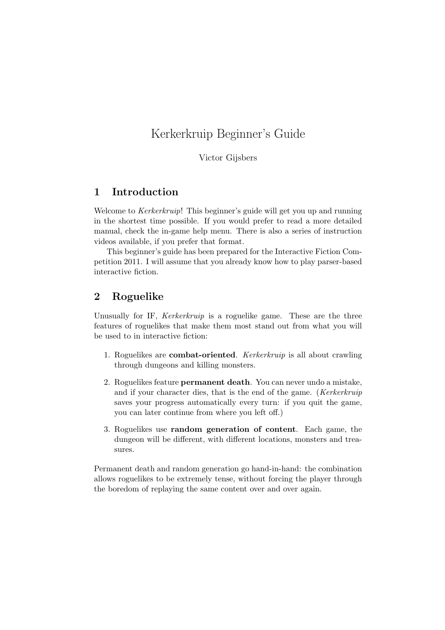# Kerkerkruip Beginner's Guide

Victor Gijsbers

### 1 Introduction

Welcome to *Kerkerkruip*! This beginner's guide will get you up and running in the shortest time possible. If you would prefer to read a more detailed manual, check the in-game help menu. There is also a series of instruction videos available, if you prefer that format.

This beginner's guide has been prepared for the Interactive Fiction Competition 2011. I will assume that you already know how to play parser-based interactive fiction.

### 2 Roguelike

Unusually for IF, *Kerkerkruip* is a roguelike game. These are the three features of roguelikes that make them most stand out from what you will be used to in interactive fiction:

- 1. Roguelikes are combat-oriented. Kerkerkruip is all about crawling through dungeons and killing monsters.
- 2. Roguelikes feature permanent death. You can never undo a mistake, and if your character dies, that is the end of the game. (Kerkerkruip saves your progress automatically every turn: if you quit the game, you can later continue from where you left off.)
- 3. Roguelikes use random generation of content. Each game, the dungeon will be different, with different locations, monsters and treasures.

Permanent death and random generation go hand-in-hand: the combination allows roguelikes to be extremely tense, without forcing the player through the boredom of replaying the same content over and over again.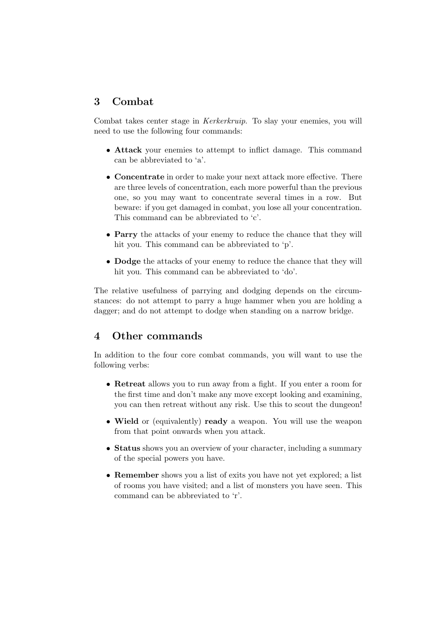## 3 Combat

Combat takes center stage in Kerkerkruip. To slay your enemies, you will need to use the following four commands:

- Attack your enemies to attempt to inflict damage. This command can be abbreviated to 'a'.
- Concentrate in order to make your next attack more effective. There are three levels of concentration, each more powerful than the previous one, so you may want to concentrate several times in a row. But beware: if you get damaged in combat, you lose all your concentration. This command can be abbreviated to 'c'.
- Parry the attacks of your enemy to reduce the chance that they will hit you. This command can be abbreviated to 'p'.
- Dodge the attacks of your enemy to reduce the chance that they will hit you. This command can be abbreviated to 'do'.

The relative usefulness of parrying and dodging depends on the circumstances: do not attempt to parry a huge hammer when you are holding a dagger; and do not attempt to dodge when standing on a narrow bridge.

## 4 Other commands

In addition to the four core combat commands, you will want to use the following verbs:

- Retreat allows you to run away from a fight. If you enter a room for the first time and don't make any move except looking and examining, you can then retreat without any risk. Use this to scout the dungeon!
- Wield or (equivalently) ready a weapon. You will use the weapon from that point onwards when you attack.
- Status shows you an overview of your character, including a summary of the special powers you have.
- Remember shows you a list of exits you have not yet explored; a list of rooms you have visited; and a list of monsters you have seen. This command can be abbreviated to 'r'.